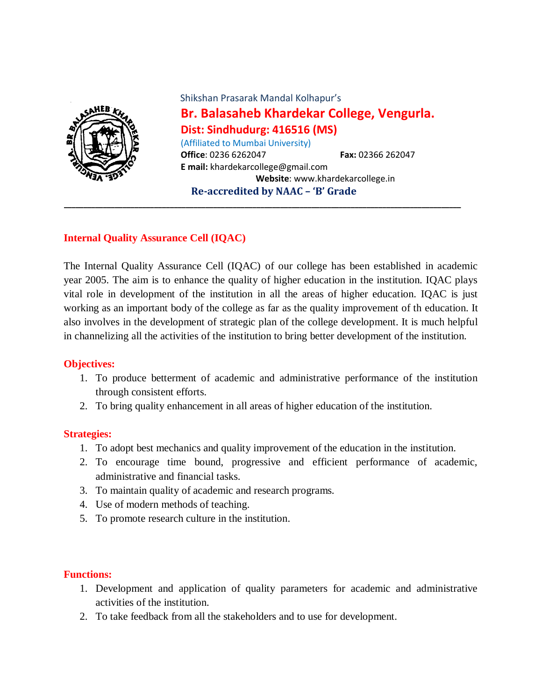

 Shikshan Prasarak Mandal Kolhapur's **Br. Balasaheb Khardekar College, Vengurla. Dist: Sindhudurg: 416516 (MS)** (Affiliated to Mumbai University) **Office**: 0236 6262047 **Fax:** 02366 262047 **E mail:** khardekarcollege@gmail.com  **Website**: www.khardekarcollege.in **Re-accredited by NAAC – 'B' Grade**

## **Internal Quality Assurance Cell (IQAC)**

The Internal Quality Assurance Cell (IQAC) of our college has been established in academic year 2005. The aim is to enhance the quality of higher education in the institution. IQAC plays vital role in development of the institution in all the areas of higher education. IQAC is just working as an important body of the college as far as the quality improvement of th education. It also involves in the development of strategic plan of the college development. It is much helpful in channelizing all the activities of the institution to bring better development of the institution.

**\_\_\_\_\_\_\_\_\_\_\_\_\_\_\_\_\_\_\_\_\_\_\_\_\_\_\_\_\_\_\_\_\_\_\_\_\_\_\_\_\_\_\_\_\_\_\_\_\_\_\_\_\_\_\_\_\_\_\_\_\_\_\_\_\_\_\_\_\_\_\_\_\_\_\_\_\_\_\_\_\_\_\_\_\_\_\_\_\_\_\_\_\_\_\_\_\_\_\_\_\_**

#### **Objectives:**

- 1. To produce betterment of academic and administrative performance of the institution through consistent efforts.
- 2. To bring quality enhancement in all areas of higher education of the institution.

#### **Strategies:**

- 1. To adopt best mechanics and quality improvement of the education in the institution.
- 2. To encourage time bound, progressive and efficient performance of academic, administrative and financial tasks.
- 3. To maintain quality of academic and research programs.
- 4. Use of modern methods of teaching.
- 5. To promote research culture in the institution.

## **Functions:**

- 1. Development and application of quality parameters for academic and administrative activities of the institution.
- 2. To take feedback from all the stakeholders and to use for development.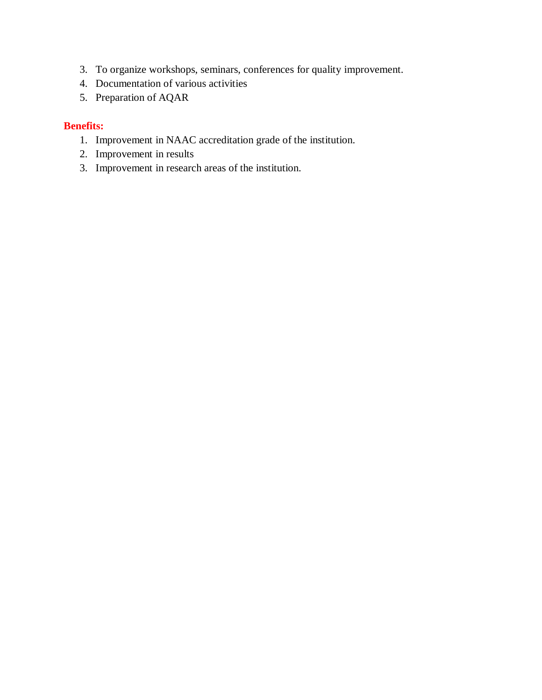- 3. To organize workshops, seminars, conferences for quality improvement.
- 4. Documentation of various activities
- 5. Preparation of AQAR

## **Benefits:**

- 1. Improvement in NAAC accreditation grade of the institution.
- 2. Improvement in results
- 3. Improvement in research areas of the institution.